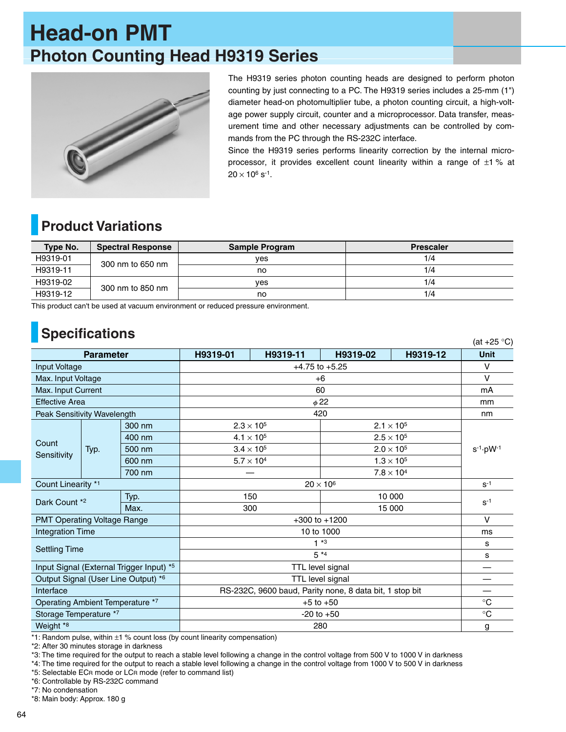# **Head-on PMT Photon Counting Head H9319 Series**



The H9319 series photon counting heads are designed to perform photon counting by just connecting to a PC. The H9319 series includes a 25-mm (1") diameter head-on photomultiplier tube, a photon counting circuit, a high-voltage power supply circuit, counter and a microprocessor. Data transfer, measurement time and other necessary adjustments can be controlled by commands from the PC through the RS-232C interface.

Since the H9319 series performs linearity correction by the internal microprocessor, it provides excellent count linearity within a range of  $\pm 1$  % at  $20 \times 10^6$  s<sup>-1</sup>.

### **Product Variations**

| Type No. | <b>Spectral Response</b> | <b>Sample Program</b> | <b>Prescaler</b> |
|----------|--------------------------|-----------------------|------------------|
| H9319-01 | 300 nm to 650 nm         | ves                   | 1/4              |
| H9319-11 |                          | no                    | 1/4              |
| H9319-02 | 300 nm to 850 nm         | ves                   | 1/4              |
| H9319-12 |                          | no                    | 1/4              |

This product can't be used at vacuum environment or reduced pressure environment.

# **Specifications**

| <b>ODCUTIORIUS</b><br>(at $+25$ °C)      |      |                    |                                                         |          |                     |             |                        |  |
|------------------------------------------|------|--------------------|---------------------------------------------------------|----------|---------------------|-------------|------------------------|--|
| <b>Parameter</b>                         |      | H9319-01           | H9319-11                                                | H9319-02 | H9319-12            | <b>Unit</b> |                        |  |
| <b>Input Voltage</b>                     |      | $+4.75$ to $+5.25$ |                                                         |          | $\vee$              |             |                        |  |
| Max. Input Voltage                       |      | $+6$               |                                                         |          | $\vee$              |             |                        |  |
| Max. Input Current                       |      | 60                 |                                                         |          | mA                  |             |                        |  |
| <b>Effective Area</b>                    |      | $\phi$ 22          |                                                         |          | mm                  |             |                        |  |
| Peak Sensitivity Wavelength              |      | 420                |                                                         |          | nm                  |             |                        |  |
| Count<br>Sensitivity                     | Typ. | 300 nm             | $2.3 \times 10^{5}$                                     |          | $2.1 \times 10^{5}$ |             | $s^{-1} \cdot pW^{-1}$ |  |
|                                          |      | 400 nm             | $4.1 \times 10^{5}$                                     |          | $2.5 \times 10^{5}$ |             |                        |  |
|                                          |      | 500 nm             | $3.4 \times 10^5$<br>$2.0 \times 10^5$                  |          |                     |             |                        |  |
|                                          |      | 600 nm             | $5.7 \times 10^{4}$                                     |          | $1.3 \times 10^{5}$ |             |                        |  |
|                                          |      | 700 nm             | $7.8 \times 10^{4}$                                     |          |                     |             |                        |  |
| Count Linearity *1                       |      | $20 \times 10^6$   |                                                         |          |                     | $S-1$       |                        |  |
| Typ.<br>Dark Count *2<br>Max.            |      |                    | 150                                                     |          | 10 000              |             | $S-1$                  |  |
|                                          |      |                    | 300                                                     |          | 15 000              |             |                        |  |
| <b>PMT Operating Voltage Range</b>       |      | $+300$ to $+1200$  |                                                         |          | $\vee$              |             |                        |  |
| <b>Integration Time</b>                  |      | 10 to 1000         |                                                         |          | ms                  |             |                        |  |
|                                          |      | $1*3$              |                                                         |          | s                   |             |                        |  |
| <b>Settling Time</b>                     |      |                    | $5*4$                                                   |          |                     | s           |                        |  |
| Input Signal (External Trigger Input) *5 |      | TTL level signal   |                                                         |          | —                   |             |                        |  |
| Output Signal (User Line Output) *6      |      | TTL level signal   |                                                         |          |                     |             |                        |  |
| Interface                                |      |                    | RS-232C, 9600 baud, Parity none, 8 data bit, 1 stop bit |          |                     | —           |                        |  |
| Operating Ambient Temperature *7         |      |                    | $+5$ to $+50$                                           |          |                     | $^{\circ}C$ |                        |  |
| Storage Temperature *7                   |      |                    | $-20$ to $+50$                                          |          |                     | $^{\circ}C$ |                        |  |
| Weight <sup>*8</sup>                     |      |                    | 280                                                     |          |                     | g           |                        |  |

\*1: Random pulse, within ±1 % count loss (by count linearity compensation)

\*2: After 30 minutes storage in darkness

\*3: The time required for the output to reach a stable level following a change in the control voltage from 500 V to 1000 V in darkness

\*4: The time required for the output to reach a stable level following a change in the control voltage from 1000 V to 500 V in darkness

\*5: Selectable ECR mode or LCR mode (refer to command list)

\*6: Controllable by RS-232C command

\*7: No condensation

\*8: Main body: Approx. 180 g